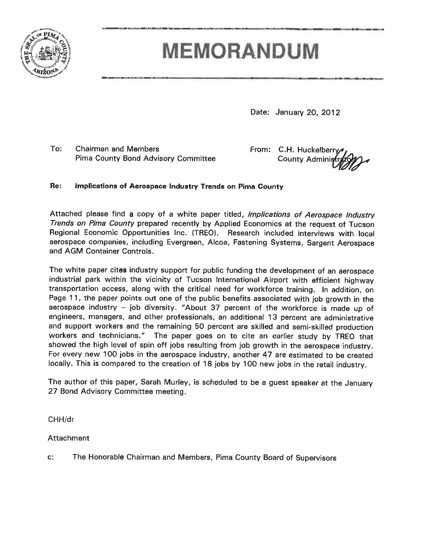

# **MEMORANDUM**

Date: January 20, 2012

To: **Chairman and Members Pima County Bond Advisory Committee**  From: C.H. Huckelberry **County Adminis** 

#### Re: Implications of Aerospace Industry Trends on Pima County

Attached please find a copy of a white paper titled, *Implications of Aerospace Industry* Trends on Pima County prepared recently by Applied Economics at the request of Tucson Regional Economic Opportunities Inc. (TREO). Research included interviews with local aerospace companies, including Evergreen, Alcoa, Fastening Systems, Sargent Aerospace and AGM Container Controls.

The white paper cites industry support for public funding the development of an aerospace industrial park within the vicinity of Tucson International Airport with efficient highway transportation access, along with the critical need for workforce training. In addition, on Page 11, the paper points out one of the public benefits associated with job growth in the aerospace industry - job diversity. "About 37 percent of the workforce is made up of engineers, managers, and other professionals, an additional 13 percent are administrative and support workers and the remaining 50 percent are skilled and semi-skilled production workers and technicians." The paper goes on to cite an earlier study by TREO that showed the high level of spin off jobs resulting from job growth in the aerospace industry. For every new 100 jobs in the aerospace industry, another 47 are estimated to be created locally. This is compared to the creation of 18 jobs by 100 new jobs in the retail industry.

The author of this paper, Sarah Murley, is scheduled to be a guest speaker at the January 27 Bond Advisory Committee meeting.

CHH/dr

### Attachment

The Honorable Chairman and Members, Pima County Board of Supervisors  $C$ :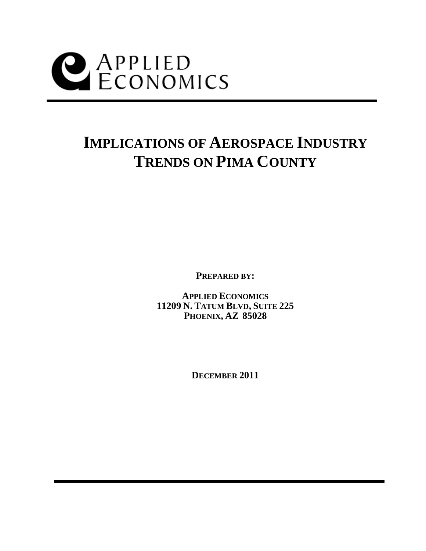

## **IMPLICATIONS OF AEROSPACE INDUSTRY TRENDS ON PIMA COUNTY**

**PREPARED BY:** 

**APPLIED ECONOMICS 11209 N. TATUM BLVD, SUITE 225 PHOENIX, AZ 85028** 

**DECEMBER 2011**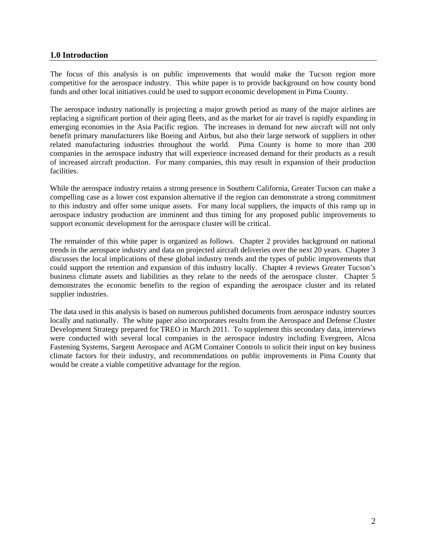#### **1.0 Introduction**

The focus of this analysis is on public improvements that would make the Tucson region more competitive for the aerospace industry. This white paper is to provide background on how county bond funds and other local initiatives could be used to support economic development in Pima County.

The aerospace industry nationally is projecting a major growth period as many of the major airlines are replacing a significant portion of their aging fleets, and as the market for air travel is rapidly expanding in emerging economies in the Asia Pacific region. The increases in demand for new aircraft will not only benefit primary manufacturers like Boeing and Airbus, but also their large network of suppliers in other related manufacturing industries throughout the world. Pima County is home to more than 200 companies in the aerospace industry that will experience increased demand for their products as a result of increased aircraft production. For many companies, this may result in expansion of their production facilities.

While the aerospace industry retains a strong presence in Southern California, Greater Tucson can make a compelling case as a lower cost expansion alternative if the region can demonstrate a strong commitment to this industry and offer some unique assets. For many local suppliers, the impacts of this ramp up in aerospace industry production are imminent and thus timing for any proposed public improvements to support economic development for the aerospace cluster will be critical.

The remainder of this white paper is organized as follows. Chapter 2 provides background on national trends in the aerospace industry and data on projected aircraft deliveries over the next 20 years. Chapter 3 discusses the local implications of these global industry trends and the types of public improvements that could support the retention and expansion of this industry locally. Chapter 4 reviews Greater Tucson's business climate assets and liabilities as they relate to the needs of the aerospace cluster. Chapter 5 demonstrates the economic benefits to the region of expanding the aerospace cluster and its related supplier industries.

The data used in this analysis is based on numerous published documents from aerospace industry sources locally and nationally. The white paper also incorporates results from the Aerospace and Defense Cluster Development Strategy prepared for TREO in March 2011. To supplement this secondary data, interviews were conducted with several local companies in the aerospace industry including Evergreen, Alcoa Fastening Systems, Sargent Aerospace and AGM Container Controls to solicit their input on key business climate factors for their industry, and recommendations on public improvements in Pima County that would be create a viable competitive advantage for the region.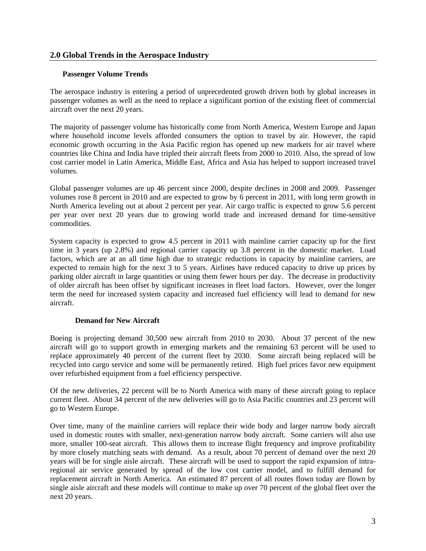#### **2.0 Global Trends in the Aerospace Industry**

#### **Passenger Volume Trends**

The aerospace industry is entering a period of unprecedented growth driven both by global increases in passenger volumes as well as the need to replace a significant portion of the existing fleet of commercial aircraft over the next 20 years.

The majority of passenger volume has historically come from North America, Western Europe and Japan where household income levels afforded consumers the option to travel by air. However, the rapid economic growth occurring in the Asia Pacific region has opened up new markets for air travel where countries like China and India have tripled their aircraft fleets from 2000 to 2010. Also, the spread of low cost carrier model in Latin America, Middle East, Africa and Asia has helped to support increased travel volumes.

Global passenger volumes are up 46 percent since 2000, despite declines in 2008 and 2009. Passenger volumes rose 8 percent in 2010 and are expected to grow by 6 percent in 2011, with long term growth in North America leveling out at about 2 percent per year. Air cargo traffic is expected to grow 5.6 percent per year over next 20 years due to growing world trade and increased demand for time-sensitive commodities.

System capacity is expected to grow 4.5 percent in 2011 with mainline carrier capacity up for the first time in 3 years (up 2.8%) and regional carrier capacity up 3.8 percent in the domestic market. Load factors, which are at an all time high due to strategic reductions in capacity by mainline carriers, are expected to remain high for the next 3 to 5 years. Airlines have reduced capacity to drive up prices by parking older aircraft in large quantities or using them fewer hours per day. The decrease in productivity of older aircraft has been offset by significant increases in fleet load factors. However, over the longer term the need for increased system capacity and increased fuel efficiency will lead to demand for new aircraft.

#### **Demand for New Aircraft**

Boeing is projecting demand 30,500 new aircraft from 2010 to 2030. About 37 percent of the new aircraft will go to support growth in emerging markets and the remaining 63 percent will be used to replace approximately 40 percent of the current fleet by 2030. Some aircraft being replaced will be recycled into cargo service and some will be permanently retired. High fuel prices favor new equipment over refurbished equipment from a fuel efficiency perspective.

Of the new deliveries, 22 percent will be to North America with many of these aircraft going to replace current fleet. About 34 percent of the new deliveries will go to Asia Pacific countries and 23 percent will go to Western Europe.

Over time, many of the mainline carriers will replace their wide body and larger narrow body aircraft used in domestic routes with smaller, next-generation narrow body aircraft. Some carriers will also use more, smaller 100-seat aircraft. This allows them to increase flight frequency and improve profitability by more closely matching seats with demand. As a result, about 70 percent of demand over the next 20 years will be for single aisle aircraft. These aircraft will be used to support the rapid expansion of intraregional air service generated by spread of the low cost carrier model, and to fulfill demand for replacement aircraft in North America. An estimated 87 percent of all routes flown today are flown by single aisle aircraft and these models will continue to make up over 70 percent of the global fleet over the next 20 years.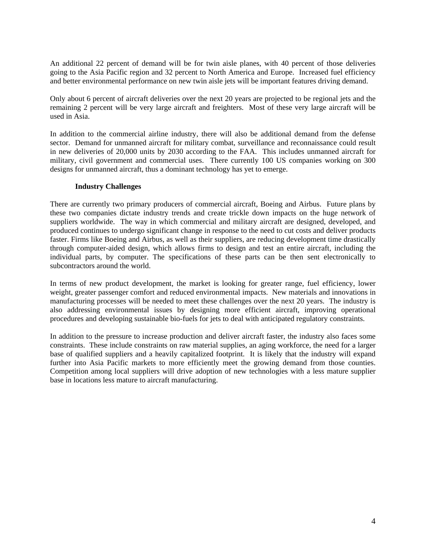An additional 22 percent of demand will be for twin aisle planes, with 40 percent of those deliveries going to the Asia Pacific region and 32 percent to North America and Europe. Increased fuel efficiency and better environmental performance on new twin aisle jets will be important features driving demand.

Only about 6 percent of aircraft deliveries over the next 20 years are projected to be regional jets and the remaining 2 percent will be very large aircraft and freighters. Most of these very large aircraft will be used in Asia.

In addition to the commercial airline industry, there will also be additional demand from the defense sector. Demand for unmanned aircraft for military combat, surveillance and reconnaissance could result in new deliveries of 20,000 units by 2030 according to the FAA. This includes unmanned aircraft for military, civil government and commercial uses. There currently 100 US companies working on 300 designs for unmanned aircraft, thus a dominant technology has yet to emerge.

#### **Industry Challenges**

There are currently two primary producers of commercial aircraft, Boeing and Airbus. Future plans by these two companies dictate industry trends and create trickle down impacts on the huge network of suppliers worldwide. The way in which commercial and military aircraft are designed, developed, and produced continues to undergo significant change in response to the need to cut costs and deliver products faster. Firms like Boeing and Airbus, as well as their suppliers, are reducing development time drastically through computer-aided design, which allows firms to design and test an entire aircraft, including the individual parts, by computer. The specifications of these parts can be then sent electronically to subcontractors around the world.

In terms of new product development, the market is looking for greater range, fuel efficiency, lower weight, greater passenger comfort and reduced environmental impacts. New materials and innovations in manufacturing processes will be needed to meet these challenges over the next 20 years. The industry is also addressing environmental issues by designing more efficient aircraft, improving operational procedures and developing sustainable bio-fuels for jets to deal with anticipated regulatory constraints.

In addition to the pressure to increase production and deliver aircraft faster, the industry also faces some constraints. These include constraints on raw material supplies, an aging workforce, the need for a larger base of qualified suppliers and a heavily capitalized footprint. It is likely that the industry will expand further into Asia Pacific markets to more efficiently meet the growing demand from those counties. Competition among local suppliers will drive adoption of new technologies with a less mature supplier base in locations less mature to aircraft manufacturing.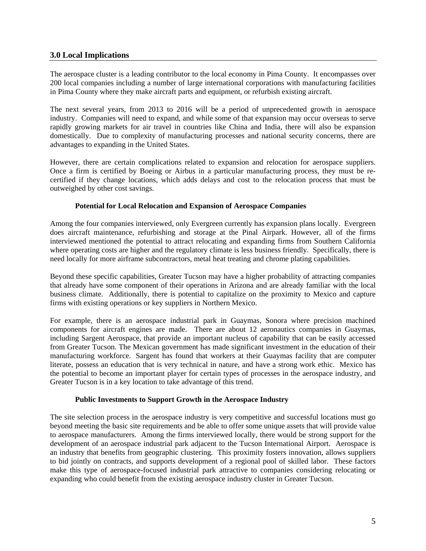#### **3.0 Local Implications**

The aerospace cluster is a leading contributor to the local economy in Pima County. It encompasses over 200 local companies including a number of large international corporations with manufacturing facilities in Pima County where they make aircraft parts and equipment, or refurbish existing aircraft.

The next several years, from 2013 to 2016 will be a period of unprecedented growth in aerospace industry. Companies will need to expand, and while some of that expansion may occur overseas to serve rapidly growing markets for air travel in countries like China and India, there will also be expansion domestically. Due to complexity of manufacturing processes and national security concerns, there are advantages to expanding in the United States.

However, there are certain complications related to expansion and relocation for aerospace suppliers. Once a firm is certified by Boeing or Airbus in a particular manufacturing process, they must be recertified if they change locations, which adds delays and cost to the relocation process that must be outweighed by other cost savings.

#### **Potential for Local Relocation and Expansion of Aerospace Companies**

Among the four companies interviewed, only Evergreen currently has expansion plans locally. Evergreen does aircraft maintenance, refurbishing and storage at the Pinal Airpark. However, all of the firms interviewed mentioned the potential to attract relocating and expanding firms from Southern California where operating costs are higher and the regulatory climate is less business friendly. Specifically, there is need locally for more airframe subcontractors, metal heat treating and chrome plating capabilities.

Beyond these specific capabilities, Greater Tucson may have a higher probability of attracting companies that already have some component of their operations in Arizona and are already familiar with the local business climate. Additionally, there is potential to capitalize on the proximity to Mexico and capture firms with existing operations or key suppliers in Northern Mexico.

For example, there is an aerospace industrial park in Guaymas, Sonora where precision machined components for aircraft engines are made. There are about 12 aeronautics companies in Guaymas, including Sargent Aerospace, that provide an important nucleus of capability that can be easily accessed from Greater Tucson. The Mexican government has made significant investment in the education of their manufacturing workforce. Sargent has found that workers at their Guaymas facility that are computer literate, possess an education that is very technical in nature, and have a strong work ethic. Mexico has the potential to become an important player for certain types of processes in the aerospace industry, and Greater Tucson is in a key location to take advantage of this trend.

#### **Public Investments to Support Growth in the Aerospace Industry**

The site selection process in the aerospace industry is very competitive and successful locations must go beyond meeting the basic site requirements and be able to offer some unique assets that will provide value to aerospace manufacturers. Among the firms interviewed locally, there would be strong support for the development of an aerospace industrial park adjacent to the Tucson International Airport. Aerospace is an industry that benefits from geographic clustering. This proximity fosters innovation, allows suppliers to bid jointly on contracts, and supports development of a regional pool of skilled labor. These factors make this type of aerospace-focused industrial park attractive to companies considering relocating or expanding who could benefit from the existing aerospace industry cluster in Greater Tucson.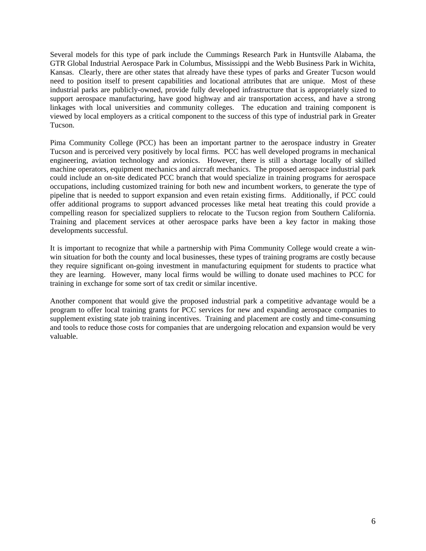Several models for this type of park include the Cummings Research Park in Huntsville Alabama, the GTR Global Industrial Aerospace Park in Columbus, Mississippi and the Webb Business Park in Wichita, Kansas. Clearly, there are other states that already have these types of parks and Greater Tucson would need to position itself to present capabilities and locational attributes that are unique. Most of these industrial parks are publicly-owned, provide fully developed infrastructure that is appropriately sized to support aerospace manufacturing, have good highway and air transportation access, and have a strong linkages with local universities and community colleges. The education and training component is viewed by local employers as a critical component to the success of this type of industrial park in Greater Tucson.

Pima Community College (PCC) has been an important partner to the aerospace industry in Greater Tucson and is perceived very positively by local firms. PCC has well developed programs in mechanical engineering, aviation technology and avionics. However, there is still a shortage locally of skilled machine operators, equipment mechanics and aircraft mechanics. The proposed aerospace industrial park could include an on-site dedicated PCC branch that would specialize in training programs for aerospace occupations, including customized training for both new and incumbent workers, to generate the type of pipeline that is needed to support expansion and even retain existing firms. Additionally, if PCC could offer additional programs to support advanced processes like metal heat treating this could provide a compelling reason for specialized suppliers to relocate to the Tucson region from Southern California. Training and placement services at other aerospace parks have been a key factor in making those developments successful.

It is important to recognize that while a partnership with Pima Community College would create a winwin situation for both the county and local businesses, these types of training programs are costly because they require significant on-going investment in manufacturing equipment for students to practice what they are learning. However, many local firms would be willing to donate used machines to PCC for training in exchange for some sort of tax credit or similar incentive.

Another component that would give the proposed industrial park a competitive advantage would be a program to offer local training grants for PCC services for new and expanding aerospace companies to supplement existing state job training incentives. Training and placement are costly and time-consuming and tools to reduce those costs for companies that are undergoing relocation and expansion would be very valuable.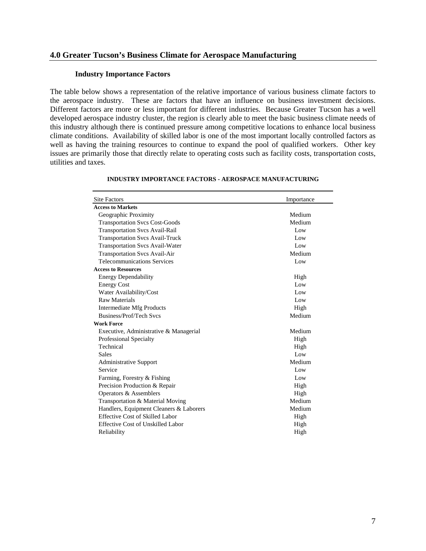#### **4.0 Greater Tucson's Business Climate for Aerospace Manufacturing**

#### **Industry Importance Factors**

The table below shows a representation of the relative importance of various business climate factors to the aerospace industry. These are factors that have an influence on business investment decisions. Different factors are more or less important for different industries. Because Greater Tucson has a well developed aerospace industry cluster, the region is clearly able to meet the basic business climate needs of this industry although there is continued pressure among competitive locations to enhance local business climate conditions. Availability of skilled labor is one of the most important locally controlled factors as well as having the training resources to continue to expand the pool of qualified workers. Other key issues are primarily those that directly relate to operating costs such as facility costs, transportation costs, utilities and taxes.

| <b>Site Factors</b>                      | Importance |
|------------------------------------------|------------|
| <b>Access to Markets</b>                 |            |
| Geographic Proximity                     | Medium     |
| <b>Transportation Svcs Cost-Goods</b>    | Medium     |
| <b>Transportation Svcs Avail-Rail</b>    | Low        |
| <b>Transportation Svcs Avail-Truck</b>   | Low        |
| <b>Transportation Svcs Avail-Water</b>   | Low        |
| <b>Transportation Svcs Avail-Air</b>     | Medium     |
| <b>Telecommunications Services</b>       | Low        |
| <b>Access to Resources</b>               |            |
| <b>Energy Dependability</b>              | High       |
| <b>Energy Cost</b>                       | Low        |
| Water Availability/Cost                  | Low        |
| <b>Raw Materials</b>                     | Low        |
| Intermediate Mfg Products                | High       |
| Business/Prof/Tech Sycs                  | Medium     |
| <b>Work Force</b>                        |            |
| Executive, Administrative & Managerial   | Medium     |
| Professional Specialty                   | High       |
| Technical                                | High       |
| <b>Sales</b>                             | Low        |
| <b>Administrative Support</b>            | Medium     |
| Service                                  | Low        |
| Farming, Forestry & Fishing              | Low        |
| Precision Production & Repair            | High       |
| Operators & Assemblers                   | High       |
| Transportation & Material Moving         | Medium     |
| Handlers, Equipment Cleaners & Laborers  | Medium     |
| Effective Cost of Skilled Labor          | High       |
| <b>Effective Cost of Unskilled Labor</b> | High       |
| Reliability                              | High       |

#### **INDUSTRY IMPORTANCE FACTORS - AEROSPACE MANUFACTURING**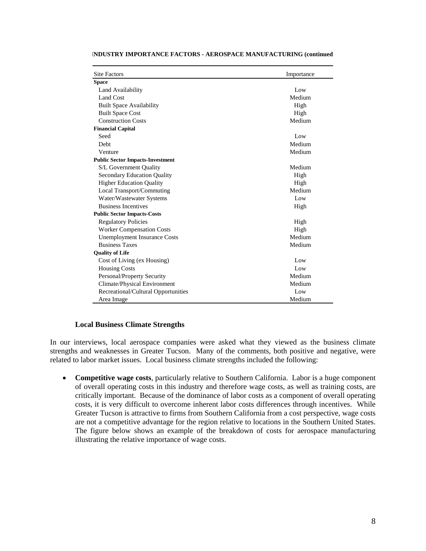| <b>Site Factors</b>                     | Importance |  |  |  |  |
|-----------------------------------------|------------|--|--|--|--|
| <b>Space</b>                            |            |  |  |  |  |
| Land Availability                       | Low        |  |  |  |  |
| Land Cost                               | Medium     |  |  |  |  |
| <b>Built Space Availability</b>         | High       |  |  |  |  |
| <b>Built Space Cost</b>                 | High       |  |  |  |  |
| <b>Construction Costs</b>               | Medium     |  |  |  |  |
| <b>Financial Capital</b>                |            |  |  |  |  |
| Seed                                    | Low        |  |  |  |  |
| Debt                                    | Medium     |  |  |  |  |
| Venture                                 | Medium     |  |  |  |  |
| <b>Public Sector Impacts-Investment</b> |            |  |  |  |  |
| S/L Government Quality                  | Medium     |  |  |  |  |
| <b>Secondary Education Quality</b>      | High       |  |  |  |  |
| <b>Higher Education Quality</b>         | High       |  |  |  |  |
| Local Transport/Commuting               | Medium     |  |  |  |  |
| Water/Wastewater Systems<br>Low         |            |  |  |  |  |
| <b>Business Incentives</b>              | High       |  |  |  |  |
| <b>Public Sector Impacts-Costs</b>      |            |  |  |  |  |
| <b>Regulatory Policies</b>              | High       |  |  |  |  |
| <b>Worker Compensation Costs</b>        | High       |  |  |  |  |
| <b>Unemployment Insurance Costs</b>     | Medium     |  |  |  |  |
| <b>Business Taxes</b>                   | Medium     |  |  |  |  |
| <b>Quality of Life</b>                  |            |  |  |  |  |
| Cost of Living (ex Housing)             | Low        |  |  |  |  |
| <b>Housing Costs</b>                    | Low        |  |  |  |  |
| Personal/Property Security              | Medium     |  |  |  |  |
| Climate/Physical Environment            | Medium     |  |  |  |  |
| Recreational/Cultural Opportunities     | Low        |  |  |  |  |
| Area Image                              | Medium     |  |  |  |  |

#### **INDUSTRY IMPORTANCE FACTORS - AEROSPACE MANUFACTURING (continued**

#### **Local Business Climate Strengths**

In our interviews, local aerospace companies were asked what they viewed as the business climate strengths and weaknesses in Greater Tucson. Many of the comments, both positive and negative, were related to labor market issues. Local business climate strengths included the following:

• **Competitive wage costs**, particularly relative to Southern California. Labor is a huge component of overall operating costs in this industry and therefore wage costs, as well as training costs, are critically important. Because of the dominance of labor costs as a component of overall operating costs, it is very difficult to overcome inherent labor costs differences through incentives. While Greater Tucson is attractive to firms from Southern California from a cost perspective, wage costs are not a competitive advantage for the region relative to locations in the Southern United States. The figure below shows an example of the breakdown of costs for aerospace manufacturing illustrating the relative importance of wage costs.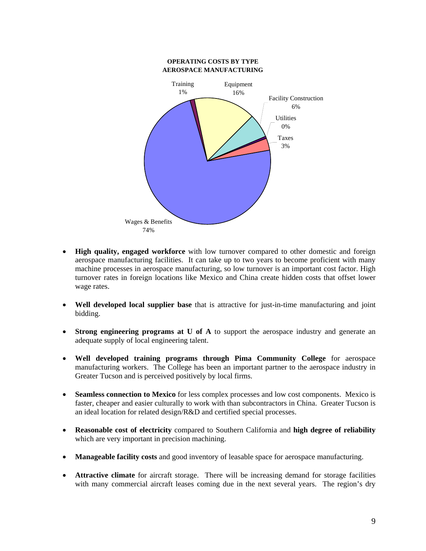

- **High quality, engaged workforce** with low turnover compared to other domestic and foreign aerospace manufacturing facilities. It can take up to two years to become proficient with many machine processes in aerospace manufacturing, so low turnover is an important cost factor. High turnover rates in foreign locations like Mexico and China create hidden costs that offset lower wage rates.
- **Well developed local supplier base** that is attractive for just-in-time manufacturing and joint bidding.
- **Strong engineering programs at U of A** to support the aerospace industry and generate an adequate supply of local engineering talent.
- **Well developed training programs through Pima Community College** for aerospace manufacturing workers. The College has been an important partner to the aerospace industry in Greater Tucson and is perceived positively by local firms.
- **Seamless connection to Mexico** for less complex processes and low cost components. Mexico is faster, cheaper and easier culturally to work with than subcontractors in China. Greater Tucson is an ideal location for related design/R&D and certified special processes.
- **Reasonable cost of electricity** compared to Southern California and **high degree of reliability** which are very important in precision machining.
- **Manageable facility costs** and good inventory of leasable space for aerospace manufacturing.
- **Attractive climate** for aircraft storage. There will be increasing demand for storage facilities with many commercial aircraft leases coming due in the next several years. The region's dry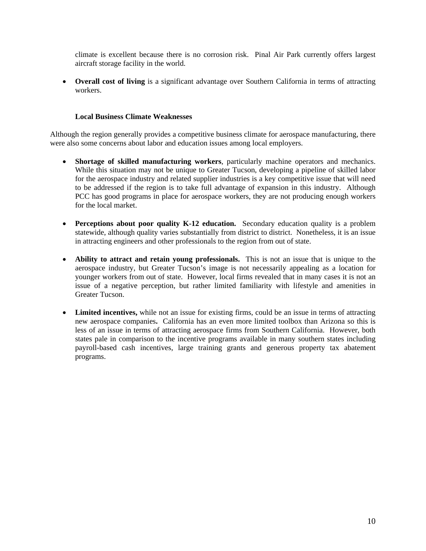climate is excellent because there is no corrosion risk. Pinal Air Park currently offers largest aircraft storage facility in the world.

• **Overall cost of living** is a significant advantage over Southern California in terms of attracting workers.

#### **Local Business Climate Weaknesses**

Although the region generally provides a competitive business climate for aerospace manufacturing, there were also some concerns about labor and education issues among local employers.

- **Shortage of skilled manufacturing workers**, particularly machine operators and mechanics. While this situation may not be unique to Greater Tucson, developing a pipeline of skilled labor for the aerospace industry and related supplier industries is a key competitive issue that will need to be addressed if the region is to take full advantage of expansion in this industry. Although PCC has good programs in place for aerospace workers, they are not producing enough workers for the local market.
- **Perceptions about poor quality K-12 education.** Secondary education quality is a problem statewide, although quality varies substantially from district to district. Nonetheless, it is an issue in attracting engineers and other professionals to the region from out of state.
- **Ability to attract and retain young professionals.** This is not an issue that is unique to the aerospace industry, but Greater Tucson's image is not necessarily appealing as a location for younger workers from out of state. However, local firms revealed that in many cases it is not an issue of a negative perception, but rather limited familiarity with lifestyle and amenities in Greater Tucson.
- Limited incentives, while not an issue for existing firms, could be an issue in terms of attracting new aerospace companies**.** California has an even more limited toolbox than Arizona so this is less of an issue in terms of attracting aerospace firms from Southern California. However, both states pale in comparison to the incentive programs available in many southern states including payroll-based cash incentives, large training grants and generous property tax abatement programs.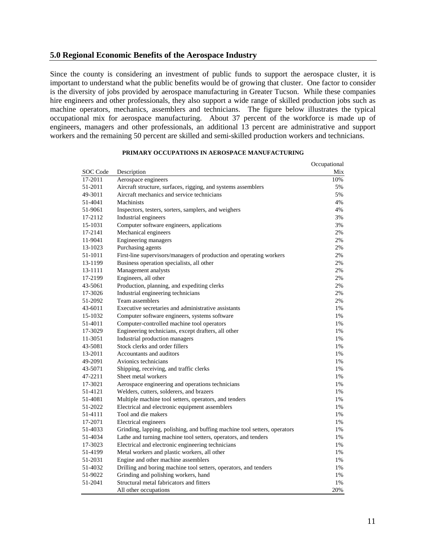#### **5.0 Regional Economic Benefits of the Aerospace Industry**

Since the county is considering an investment of public funds to support the aerospace cluster, it is important to understand what the public benefits would be of growing that cluster. One factor to consider is the diversity of jobs provided by aerospace manufacturing in Greater Tucson. While these companies hire engineers and other professionals, they also support a wide range of skilled production jobs such as machine operators, mechanics, assemblers and technicians. The figure below illustrates the typical occupational mix for aerospace manufacturing. About 37 percent of the workforce is made up of engineers, managers and other professionals, an additional 13 percent are administrative and support workers and the remaining 50 percent are skilled and semi-skilled production workers and technicians.

|          |                                                                           | Occupational |
|----------|---------------------------------------------------------------------------|--------------|
| SOC Code | Description                                                               | Mix          |
| 17-2011  | Aerospace engineers                                                       | 10%          |
| 51-2011  | Aircraft structure, surfaces, rigging, and systems assemblers             | 5%           |
| 49-3011  | Aircraft mechanics and service technicians                                | 5%           |
| 51-4041  | <b>Machinists</b>                                                         | 4%           |
| 51-9061  | Inspectors, testers, sorters, samplers, and weighers                      | 4%           |
| 17-2112  | Industrial engineers                                                      | 3%           |
| 15-1031  | Computer software engineers, applications                                 | 3%           |
| 17-2141  | Mechanical engineers                                                      | 2%           |
| 11-9041  | Engineering managers                                                      | 2%           |
| 13-1023  | Purchasing agents                                                         | 2%           |
| 51-1011  | First-line supervisors/managers of production and operating workers       | 2%           |
| 13-1199  | Business operation specialists, all other                                 | 2%           |
| 13-1111  | Management analysts                                                       | 2%           |
| 17-2199  | Engineers, all other                                                      | 2%           |
| 43-5061  | Production, planning, and expediting clerks                               | 2%           |
| 17-3026  | Industrial engineering technicians                                        | 2%           |
| 51-2092  | Team assemblers                                                           | 2%           |
| 43-6011  | Executive secretaries and administrative assistants                       | 1%           |
| 15-1032  | Computer software engineers, systems software                             | 1%           |
| 51-4011  | Computer-controlled machine tool operators                                | 1%           |
| 17-3029  | Engineering technicians, except drafters, all other                       | 1%           |
| 11-3051  | Industrial production managers                                            | 1%           |
| 43-5081  | Stock clerks and order fillers                                            | 1%           |
| 13-2011  | Accountants and auditors                                                  | 1%           |
| 49-2091  | Avionics technicians                                                      | 1%           |
| 43-5071  | Shipping, receiving, and traffic clerks                                   | 1%           |
| 47-2211  | Sheet metal workers                                                       | 1%           |
| 17-3021  | Aerospace engineering and operations technicians                          | 1%           |
| 51-4121  | Welders, cutters, solderers, and brazers                                  | 1%           |
| 51-4081  | Multiple machine tool setters, operators, and tenders                     | 1%           |
| 51-2022  | Electrical and electronic equipment assemblers                            | 1%           |
| 51-4111  | Tool and die makers                                                       | 1%           |
| 17-2071  | Electrical engineers                                                      | 1%           |
| 51-4033  | Grinding, lapping, polishing, and buffing machine tool setters, operators | 1%           |
| 51-4034  | Lathe and turning machine tool setters, operators, and tenders            | 1%           |
| 17-3023  | Electrical and electronic engineering technicians                         | 1%           |
| 51-4199  | Metal workers and plastic workers, all other                              | 1%           |
| 51-2031  | Engine and other machine assemblers                                       | 1%           |
| 51-4032  | Drilling and boring machine tool setters, operators, and tenders          | 1%           |
| 51-9022  | Grinding and polishing workers, hand                                      | 1%           |
| 51-2041  | Structural metal fabricators and fitters                                  | 1%           |
|          | All other occupations                                                     | 20%          |

#### **PRIMARY OCCUPATIONS IN AEROSPACE MANUFACTURING**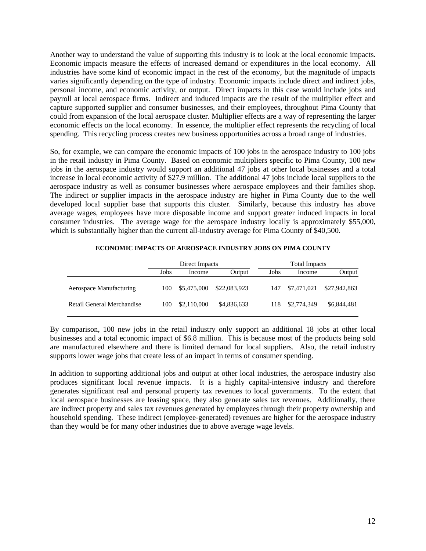Another way to understand the value of supporting this industry is to look at the local economic impacts. Economic impacts measure the effects of increased demand or expenditures in the local economy. All industries have some kind of economic impact in the rest of the economy, but the magnitude of impacts varies significantly depending on the type of industry. Economic impacts include direct and indirect jobs, personal income, and economic activity, or output. Direct impacts in this case would include jobs and payroll at local aerospace firms. Indirect and induced impacts are the result of the multiplier effect and capture supported supplier and consumer businesses, and their employees, throughout Pima County that could from expansion of the local aerospace cluster. Multiplier effects are a way of representing the larger economic effects on the local economy. In essence, the multiplier effect represents the recycling of local spending. This recycling process creates new business opportunities across a broad range of industries.

So, for example, we can compare the economic impacts of 100 jobs in the aerospace industry to 100 jobs in the retail industry in Pima County. Based on economic multipliers specific to Pima County, 100 new jobs in the aerospace industry would support an additional 47 jobs at other local businesses and a total increase in local economic activity of \$27.9 million. The additional 47 jobs include local suppliers to the aerospace industry as well as consumer businesses where aerospace employees and their families shop. The indirect or supplier impacts in the aerospace industry are higher in Pima County due to the well developed local supplier base that supports this cluster. Similarly, because this industry has above average wages, employees have more disposable income and support greater induced impacts in local consumer industries. The average wage for the aerospace industry locally is approximately \$55,000, which is substantially higher than the current all-industry average for Pima County of \$40,500.

|                            | Direct Impacts |             |              | Total Impacts |             |              |
|----------------------------|----------------|-------------|--------------|---------------|-------------|--------------|
|                            | Jobs           | Income      | Output       | <b>Jobs</b>   | Income      | Output       |
| Aerospace Manufacturing    | 100            | \$5,475,000 | \$22,083,923 | 147           | \$7,471,021 | \$27,942,863 |
| Retail General Merchandise | 100            | \$2,110,000 | \$4,836,633  | 118.          | \$2,774,349 | \$6,844,481  |

#### **ECONOMIC IMPACTS OF AEROSPACE INDUSTRY JOBS ON PIMA COUNTY**

By comparison, 100 new jobs in the retail industry only support an additional 18 jobs at other local businesses and a total economic impact of \$6.8 million. This is because most of the products being sold are manufactured elsewhere and there is limited demand for local suppliers. Also, the retail industry supports lower wage jobs that create less of an impact in terms of consumer spending.

In addition to supporting additional jobs and output at other local industries, the aerospace industry also produces significant local revenue impacts. It is a highly capital-intensive industry and therefore generates significant real and personal property tax revenues to local governments. To the extent that local aerospace businesses are leasing space, they also generate sales tax revenues. Additionally, there are indirect property and sales tax revenues generated by employees through their property ownership and household spending. These indirect (employee-generated) revenues are higher for the aerospace industry than they would be for many other industries due to above average wage levels.